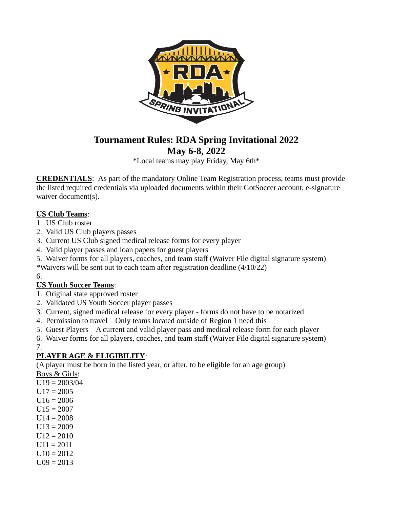

# **Tournament Rules: RDA Spring Invitational 2022 May 6-8, 2022**

\*Local teams may play Friday, May 6th\*

**CREDENTIALS**:As part of the mandatory Online Team Registration process, teams must provide the listed required credentials via uploaded documents within their GotSoccer account, e-signature waiver document(s).

# **US Club Teams**:

- 1. US Club roster
- 2. Valid US Club players passes
- 3. Current US Club signed medical release forms for every player
- 4. Valid player passes and loan papers for guest players
- 5. Waiver forms for all players, coaches, and team staff (Waiver File digital signature system)
- \*Waivers will be sent out to each team after registration deadline (4/10/22)

# 6.

# **US Youth Soccer Teams**:

- 1. Original state approved roster
- 2. Validated US Youth Soccer player passes
- 3. Current, signed medical release for every player forms do not have to be notarized
- 4. Permission to travel Only teams located outside of Region 1 need this
- 5. Guest Players A current and valid player pass and medical release form for each player
- 6. Waiver forms for all players, coaches, and team staff (Waiver File digital signature system)
- 7.

# **PLAYER AGE & ELIGIBILITY**:

(A player must be born in the listed year, or after, to be eligible for an age group)

Boys & Girls:

- $U19 = 2003/04$
- $U17 = 2005$
- $U16 = 2006$
- $U15 = 2007$
- $U14 = 2008$
- $U13 = 2009$
- $U12 = 2010$
- $U11 = 2011$
- $U10 = 2012$
- $U09 = 2013$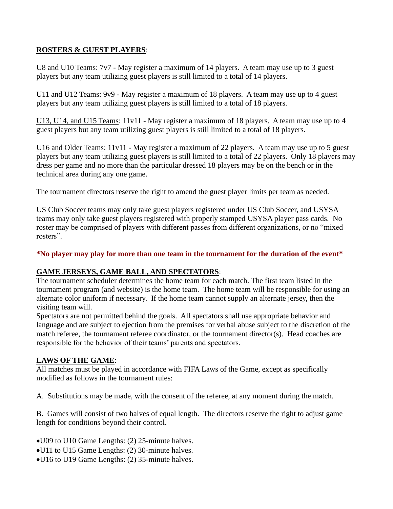# **ROSTERS & GUEST PLAYERS**:

U8 and U10 Teams: 7v7 - May register a maximum of 14 players. A team may use up to 3 guest players but any team utilizing guest players is still limited to a total of 14 players.

U11 and U12 Teams: 9v9 - May register a maximum of 18 players. A team may use up to 4 guest players but any team utilizing guest players is still limited to a total of 18 players.

U13, U14, and U15 Teams: 11v11 - May register a maximum of 18 players. A team may use up to 4 guest players but any team utilizing guest players is still limited to a total of 18 players.

U16 and Older Teams: 11v11 - May register a maximum of 22 players. A team may use up to 5 guest players but any team utilizing guest players is still limited to a total of 22 players. Only 18 players may dress per game and no more than the particular dressed 18 players may be on the bench or in the technical area during any one game.

The tournament directors reserve the right to amend the guest player limits per team as needed.

US Club Soccer teams may only take guest players registered under US Club Soccer, and USYSA teams may only take guest players registered with properly stamped USYSA player pass cards. No roster may be comprised of players with different passes from different organizations, or no "mixed rosters".

#### **\*No player may play for more than one team in the tournament for the duration of the event\***

#### **GAME JERSEYS, GAME BALL, AND SPECTATORS**:

The tournament scheduler determines the home team for each match. The first team listed in the tournament program (and website) is the home team. The home team will be responsible for using an alternate color uniform if necessary. If the home team cannot supply an alternate jersey, then the visiting team will.

Spectators are not permitted behind the goals. All spectators shall use appropriate behavior and language and are subject to ejection from the premises for verbal abuse subject to the discretion of the match referee, the tournament referee coordinator, or the tournament director(s). Head coaches are responsible for the behavior of their teams' parents and spectators.

#### **LAWS OF THE GAME**:

All matches must be played in accordance with FIFA Laws of the Game, except as specifically modified as follows in the tournament rules:

A. Substitutions may be made, with the consent of the referee, at any moment during the match.

B. Games will consist of two halves of equal length. The directors reserve the right to adjust game length for conditions beyond their control.

•U09 to U10 Game Lengths: (2) 25-minute halves.

- •U11 to U15 Game Lengths: (2) 30-minute halves.
- •U16 to U19 Game Lengths: (2) 35-minute halves.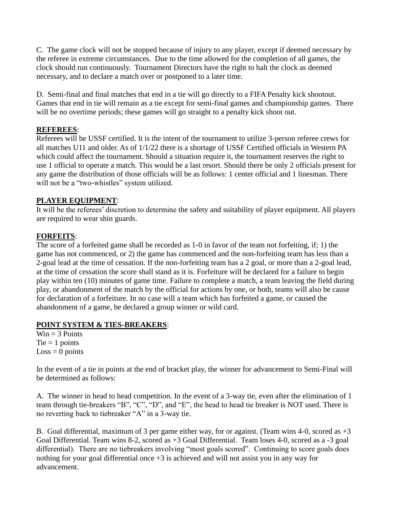C. The game clock will not be stopped because of injury to any player, except if deemed necessary by the referee in extreme circumstances. Due to the time allowed for the completion of all games, the clock should run continuously. Tournament Directors have the right to halt the clock as deemed necessary, and to declare a match over or postponed to a later time.

D. Semi-final and final matches that end in a tie will go directly to a FIFA Penalty kick shootout. Games that end in tie will remain as a tie except for semi-final games and championship games. There will be no overtime periods; these games will go straight to a penalty kick shoot out.

## **REFEREES**:

Referees will be USSF certified. It is the intent of the tournament to utilize 3-person referee crews for all matches U11 and older. As of 1/1/22 there is a shortage of USSF Certified officials in Western PA which could affect the tournament. Should a situation require it, the tournament reserves the right to use 1 official to operate a match. This would be a last resort. Should there be only 2 officials present for any game the distribution of those officials will be as follows: 1 center official and 1 linesman. There will not be a "two-whistles" system utilized.

# **PLAYER EQUIPMENT**:

It will be the referees' discretion to determine the safety and suitability of player equipment. All players are required to wear shin guards.

# **FORFEITS**:

The score of a forfeited game shall be recorded as 1-0 in favor of the team not forfeiting, if; 1) the game has not commenced, or 2) the game has commenced and the non-forfeiting team has less than a 2-goal lead at the time of cessation. If the non-forfeiting team has a 2 goal, or more than a 2-goal lead, at the time of cessation the score shall stand as it is. Forfeiture will be declared for a failure to begin play within ten (10) minutes of game time. Failure to complete a match, a team leaving the field during play, or abandonment of the match by the official for actions by one, or both, teams will also be cause for declaration of a forfeiture. In no case will a team which has forfeited a game, or caused the abandonment of a game, be declared a group winner or wild card.

#### **POINT SYSTEM & TIES-BREAKERS**:

 $Win = 3 Points$  $Tie = 1$  points  $Loss = 0$  points

In the event of a tie in points at the end of bracket play, the winner for advancement to Semi-Final will be determined as follows:

A. The winner in head to head competition. In the event of a 3-way tie, even after the elimination of 1 team through tie-breakers "B", "C", "D", and "E", the head to head tie breaker is NOT used. There is no reverting back to tiebreaker "A" in a 3-way tie.

B. Goal differential, maximum of 3 per game either way, for or against. (Team wins 4-0, scored as  $+3$ Goal Differential. Team wins 8-2, scored as +3 Goal Differential. Team loses 4-0, scored as a -3 goal differential). There are no tiebreakers involving "most goals scored". Continuing to score goals does nothing for your goal differential once +3 is achieved and will not assist you in any way for advancement.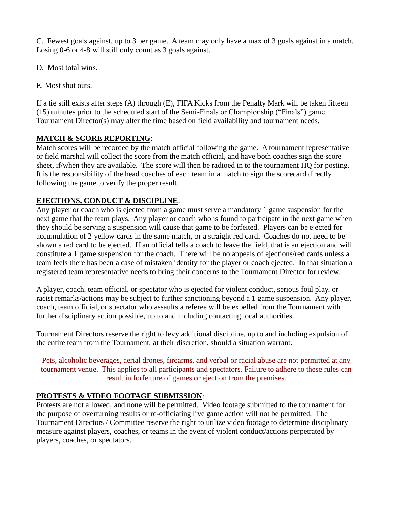C. Fewest goals against, up to 3 per game. A team may only have a max of 3 goals against in a match. Losing 0-6 or 4-8 will still only count as 3 goals against.

D. Most total wins.

E. Most shut outs.

If a tie still exists after steps (A) through (E), FIFA Kicks from the Penalty Mark will be taken fifteen (15) minutes prior to the scheduled start of the Semi-Finals or Championship ("Finals") game. Tournament Director(s) may alter the time based on field availability and tournament needs.

# **MATCH & SCORE REPORTING**:

Match scores will be recorded by the match official following the game. A tournament representative or field marshal will collect the score from the match official, and have both coaches sign the score sheet, if/when they are available. The score will then be radioed in to the tournament HQ for posting. It is the responsibility of the head coaches of each team in a match to sign the scorecard directly following the game to verify the proper result.

# **EJECTIONS, CONDUCT & DISCIPLINE**:

Any player or coach who is ejected from a game must serve a mandatory 1 game suspension for the next game that the team plays. Any player or coach who is found to participate in the next game when they should be serving a suspension will cause that game to be forfeited. Players can be ejected for accumulation of 2 yellow cards in the same match, or a straight red card. Coaches do not need to be shown a red card to be ejected. If an official tells a coach to leave the field, that is an ejection and will constitute a 1 game suspension for the coach. There will be no appeals of ejections/red cards unless a team feels there has been a case of mistaken identity for the player or coach ejected. In that situation a registered team representative needs to bring their concerns to the Tournament Director for review.

A player, coach, team official, or spectator who is ejected for violent conduct, serious foul play, or racist remarks/actions may be subject to further sanctioning beyond a 1 game suspension. Any player, coach, team official, or spectator who assaults a referee will be expelled from the Tournament with further disciplinary action possible, up to and including contacting local authorities.

Tournament Directors reserve the right to levy additional discipline, up to and including expulsion of the entire team from the Tournament, at their discretion, should a situation warrant.

Pets, alcoholic beverages, aerial drones, firearms, and verbal or racial abuse are not permitted at any tournament venue. This applies to all participants and spectators. Failure to adhere to these rules can result in forfeiture of games or ejection from the premises.

# **PROTESTS & VIDEO FOOTAGE SUBMISSION**:

Protests are not allowed, and none will be permitted. Video footage submitted to the tournament for the purpose of overturning results or re-officiating live game action will not be permitted. The Tournament Directors / Committee reserve the right to utilize video footage to determine disciplinary measure against players, coaches, or teams in the event of violent conduct/actions perpetrated by players, coaches, or spectators.